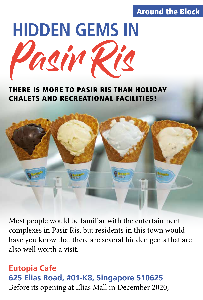### Around the Block



#### THERE IS MORE TO PASIR RIS THAN HOLIDAY CHALETS AND RECREATIONAL FACILITIES!



Most people would be familiar with the entertainment complexes in Pasir Ris, but residents in this town would have you know that there are several hidden gems that are also well worth a visit.

# **Eutopia Cafe 625 Elias Road, #01-K8, Singapore 510625** Before its opening at Elias Mall in December 2020,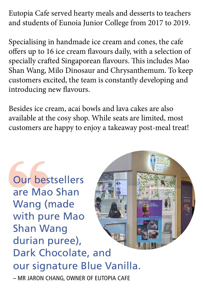Eutopia Cafe served hearty meals and desserts to teachers and students of Eunoia Junior College from 2017 to 2019.

Specialising in handmade ice cream and cones, the cafe offers up to 16 ice cream flavours daily, with a selection of specially crafted Singaporean flavours. This includes Mao Shan Wang, Milo Dinosaur and Chrysanthemum. To keep customers excited, the team is constantly developing and introducing new flavours.

Besides ice cream, acai bowls and lava cakes are also available at the cosy shop. While seats are limited, most customers are happy to enjoy a takeaway post-meal treat!

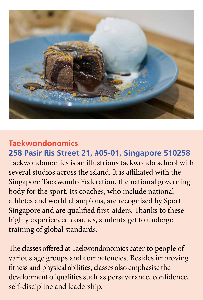

## **Taekwondonomics**

**258 Pasir Ris Street 21, #05-01, Singapore 510258** Taekwondonomics is an illustrious taekwondo school with several studios across the island. It is affiliated with the Singapore Taekwondo Federation, the national governing body for the sport. Its coaches, who include national athletes and world champions, are recognised by Sport Singapore and are qualified first-aiders. Thanks to these highly experienced coaches, students get to undergo training of global standards.

The classes offered at Taekwondonomics cater to people of various age groups and competencies. Besides improving fitness and physical abilities, classes also emphasise the development of qualities such as perseverance, confidence, self-discipline and leadership.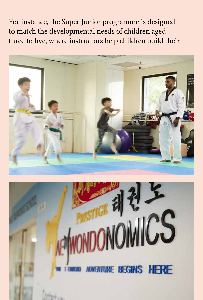For instance, the Super Junior programme is designed to match the developmental needs of children aged three to five, where instructors help children build their



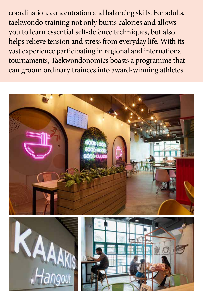coordination, concentration and balancing skills. For adults, taekwondo training not only burns calories and allows you to learn essential self-defence techniques, but also helps relieve tension and stress from everyday life. With its vast experience participating in regional and international tournaments, Taekwondonomics boasts a programme that can groom ordinary trainees into award-winning athletes.





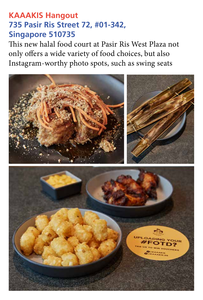## **KAAAKIS Hangout 735 Pasir Ris Street 72, #01-342, Singapore 510735**

This new halal food court at Pasir Ris West Plaza not only offers a wide variety of food choices, but also Instagram-worthy photo spots, such as swing seats